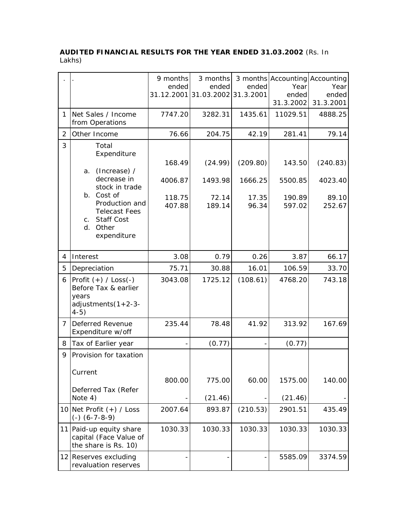## **AUDITED FINANCIAL RESULTS FOR THE YEAR ENDED 31.03.2002** (Rs. In Lakhs)

|   |                                                                                                                                                                                           | 9 months<br>ended                     | 3 months<br>ended<br>31.12.2001 31.03.2002 31.3.2001 | ended                                 | 3 months Accounting Accounting<br>Year<br>ended<br>31.3.2002 | Year<br>ended<br>31.3.2001             |
|---|-------------------------------------------------------------------------------------------------------------------------------------------------------------------------------------------|---------------------------------------|------------------------------------------------------|---------------------------------------|--------------------------------------------------------------|----------------------------------------|
| 1 | Net Sales / Income<br>from Operations                                                                                                                                                     | 7747.20                               | 3282.31                                              | 1435.61                               | 11029.51                                                     | 4888.25                                |
| 2 | Other Income                                                                                                                                                                              | 76.66                                 | 204.75                                               | 42.19                                 | 281.41                                                       | 79.14                                  |
| 3 | Total<br>Expenditure<br>(Increase) /<br>a.<br>decrease in<br>stock in trade<br>b. Cost of<br>Production and<br><b>Telecast Fees</b><br><b>Staff Cost</b><br>C.<br>d. Other<br>expenditure | 168.49<br>4006.87<br>118.75<br>407.88 | (24.99)<br>1493.98<br>72.14<br>189.14                | (209.80)<br>1666.25<br>17.35<br>96.34 | 143.50<br>5500.85<br>190.89<br>597.02                        | (240.83)<br>4023.40<br>89.10<br>252.67 |
| 4 | Interest                                                                                                                                                                                  | 3.08                                  | 0.79                                                 | 0.26                                  | 3.87                                                         | 66.17                                  |
| 5 | Depreciation                                                                                                                                                                              | 75.71                                 | 30.88                                                | 16.01                                 | 106.59                                                       | 33.70                                  |
| 6 | $ Profit (+) / Loss(-)$<br>Before Tax & earlier<br>years<br>adjustments(1+2-3-<br>$4-5)$                                                                                                  | 3043.08                               | 1725.12                                              | (108.61)                              | 4768.20                                                      | 743.18                                 |
| 7 | Deferred Revenue<br>Expenditure w/off                                                                                                                                                     | 235.44                                | 78.48                                                | 41.92                                 | 313.92                                                       | 167.69                                 |
| 8 | Tax of Earlier year                                                                                                                                                                       |                                       | (0.77)                                               |                                       | (0.77)                                                       |                                        |
| 9 | Provision for taxation<br>Current<br>Deferred Tax (Refer<br>Note 4)                                                                                                                       | 800.00                                | 775.00<br>(21.46)                                    | 60.00                                 | 1575.00<br>(21.46)                                           | 140.00                                 |
|   | 10   Net Profit $(+)$ / Loss<br>$(-)$ $(6-7-8-9)$                                                                                                                                         | 2007.64                               | 893.87                                               | (210.53)                              | 2901.51                                                      | 435.49                                 |
|   | 11 Paid-up equity share<br>capital (Face Value of<br>the share is Rs. 10)                                                                                                                 | 1030.33                               | 1030.33                                              | 1030.33                               | 1030.33                                                      | 1030.33                                |
|   | 12 Reserves excluding<br>revaluation reserves                                                                                                                                             |                                       |                                                      |                                       | 5585.09                                                      | 3374.59                                |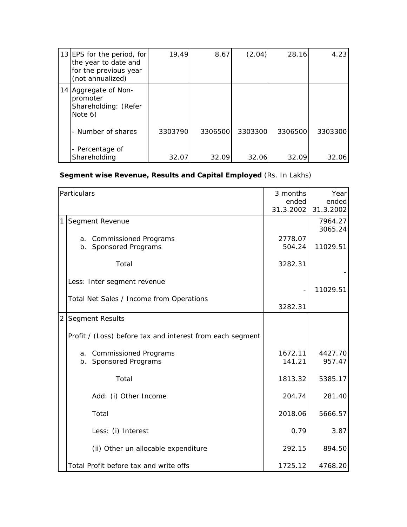| 13 EPS for the period, for<br>the year to date and<br>for the previous year<br>(not annualized) | 19.49   | 8.67    | (2.04)  | 28.16   | 4.23    |
|-------------------------------------------------------------------------------------------------|---------|---------|---------|---------|---------|
| 14 Aggregate of Non-<br>promoter<br>Shareholding: (Refer<br>Note 6)                             |         |         |         |         |         |
| - Number of shares                                                                              | 3303790 | 3306500 | 3303300 | 3306500 | 3303300 |
| - Percentage of<br>Shareholding                                                                 | 32.07   | 32.09   | 32.06   | 32.09   | 32.06   |

## **Segment wise Revenue, Results and Capital Employed** (Rs. In Lakhs)

|   | Particulars                                               | 3 months<br>ended<br>31.3.2002 | Year<br>ended<br>31.3.2002 |
|---|-----------------------------------------------------------|--------------------------------|----------------------------|
| 1 | Segment Revenue                                           |                                | 7964.27<br>3065.24         |
|   | a. Commissioned Programs<br>b. Sponsored Programs         | 2778.07<br>504.24              | 11029.51                   |
|   | Total                                                     | 3282.31                        |                            |
|   | Less: Inter segment revenue                               |                                | 11029.51                   |
|   | Total Net Sales / Income from Operations                  | 3282.31                        |                            |
|   | 2 Segment Results                                         |                                |                            |
|   | Profit / (Loss) before tax and interest from each segment |                                |                            |
|   | a. Commissioned Programs<br>b. Sponsored Programs         | 1672.11<br>141.21              | 4427.70<br>957.47          |
|   | Total                                                     | 1813.32                        | 5385.17                    |
|   | Add: (i) Other Income                                     | 204.74                         | 281.40                     |
|   | Total                                                     | 2018.06                        | 5666.57                    |
|   | Less: (i) Interest                                        | 0.79                           | 3.87                       |
|   | (ii) Other un allocable expenditure                       | 292.15                         | 894.50                     |
|   | Total Profit before tax and write offs                    | 1725.12                        | 4768.20                    |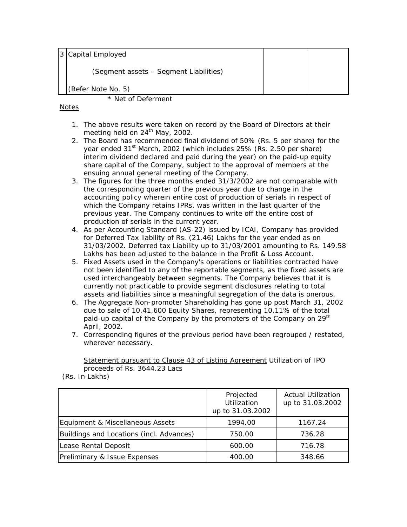3 Capital Employed

(Segment assets – Segment Liabilities)

(Refer Note No. 5)

## \* Net of Deferment

## Notes

- 1. The above results were taken on record by the Board of Directors at their meeting held on 24<sup>th</sup> May, 2002.
- 2. The Board has recommended final dividend of 50% (Rs. 5 per share) for the year ended 31<sup>st</sup> March, 2002 (which includes 25% (Rs. 2.50 per share) interim dividend declared and paid during the year) on the paid-up equity share capital of the Company, subject to the approval of members at the ensuing annual general meeting of the Company.
- 3. The figures for the three months ended 31/3/2002 are not comparable with the corresponding quarter of the previous year due to change in the accounting policy wherein entire cost of production of serials in respect of which the Company retains IPRs, was written in the last quarter of the previous year. The Company continues to write off the entire cost of production of serials in the current year.
- 4. As per Accounting Standard (AS-22) issued by ICAI, Company has provided for Deferred Tax liability of Rs. (21.46) Lakhs for the year ended as on 31/03/2002. Deferred tax Liability up to 31/03/2001 amounting to Rs. 149.58 Lakhs has been adjusted to the balance in the Profit & Loss Account.
- 5. Fixed Assets used in the Company's operations or liabilities contracted have not been identified to any of the reportable segments, as the fixed assets are used interchangeably between segments. The Company believes that it is currently not practicable to provide segment disclosures relating to total assets and liabilities since a meaningful segregation of the data is onerous.
- 6. The Aggregate Non-promoter Shareholding has gone up post March 31, 2002 due to sale of 10,41,600 Equity Shares, representing 10.11% of the total paid-up capital of the Company by the promoters of the Company on 29<sup>th</sup> April, 2002.
- 7. Corresponding figures of the previous period have been regrouped / restated, wherever necessary.

Statement pursuant to Clause 43 of Listing Agreement Utilization of IPO proceeds of Rs. 3644.23 Lacs

(Rs. In Lakhs)

|                                          | Projected<br>Utilization<br>up to 31.03.2002 | <b>Actual Utilization</b><br>up to 31.03.2002 |
|------------------------------------------|----------------------------------------------|-----------------------------------------------|
| Equipment & Miscellaneous Assets         | 1994.00                                      | 1167.24                                       |
| Buildings and Locations (incl. Advances) | 750.00                                       | 736.28                                        |
| Lease Rental Deposit                     | 600.00                                       | 716.78                                        |
| Preliminary & Issue Expenses             | 400.00                                       | 348.66                                        |